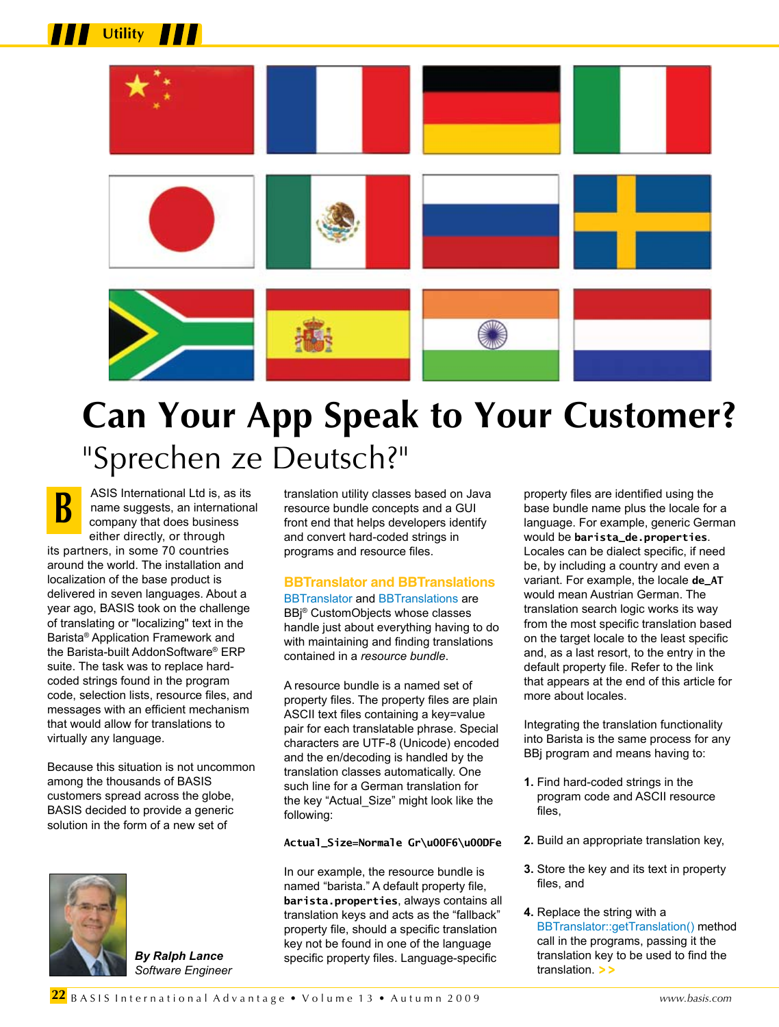

# **Can Your App Speak to Your Customer?** "Sprechen ze Deutsch?"

ASIS International Ltd is, as its name suggests, an international company that does business either directly, or through its partners, in some 70 countries around the world. The installation and localization of the base product is delivered in seven languages. About a year ago, BASIS took on the challenge of translating or "localizing" text in the Barista® Application Framework and the Barista-built AddonSoftware® ERP suite. The task was to replace hardcoded strings found in the program code, selection lists, resource files, and messages with an efficient mechanism that would allow for translations to virtually any language. **B**

**Utility**

Because this situation is not uncommon among the thousands of BASIS customers spread across the globe, BASIS decided to provide a generic solution in the form of a new set of



*By Ralph Lance Software Engineer* translation utility classes based on Java resource bundle concepts and a GUI front end that helps developers identify and convert hard-coded strings in programs and resource files.

# **BBTranslator and BBTranslations**

[BBTranslator](http://links.basis.com/bbtranslator) and [BBTranslations](https://www.basis.com/solutions/BBJabber.pdf) are BBj® CustomObjects whose classes handle just about everything having to do with maintaining and finding translations contained in a *resource bundle*.

A resource bundle is a named set of property files. The property files are plain ASCII text files containing a key=value pair for each translatable phrase. Special characters are UTF-8 (Unicode) encoded and the en/decoding is handled by the translation classes automatically. One such line for a German translation for the key "Actual\_Size" might look like the following:

## **Actual\_Size=Normale Gr\u00F6\u00DFe**

In our example, the resource bundle is named "barista." A default property file, **barista.properties**, always contains all translation keys and acts as the "fallback" property file, should a specific translation key not be found in one of the language specific property files. Language-specific

property files are identified using the base bundle name plus the locale for a language. For example, generic German would be **barista\_de.properties**. Locales can be dialect specific, if need be, by including a country and even a variant. For example, the locale **de\_AT** would mean Austrian German. The translation search logic works its way from the most specific translation based on the target locale to the least specific and, as a last resort, to the entry in the default property file. Refer to the link that appears at the end of this article for more about locales.

Integrating the translation functionality into Barista is the same process for any BBj program and means having to:

- **1.** Find hard-coded strings in the program code and ASCII resource files,
- **2.** Build an appropriate translation key,
- **3.** Store the key and its text in property files, and
- **4.** Replace the string with a [BBTranslator::getTranslation\(\) m](https://www.basis.com/solutions/BBJabber.pdf)ethod call in the programs, passing it the translation key to be used to find the translation. **> >**